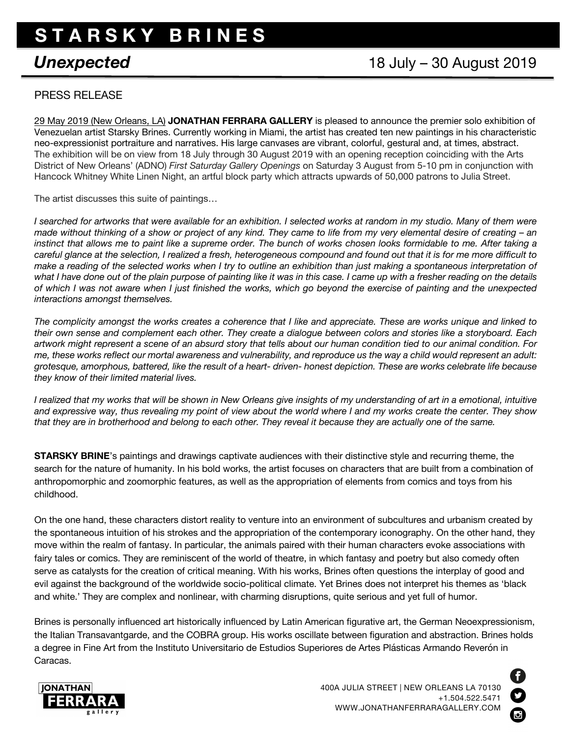## **S T A R S K Y B R I N E S**

## *Unexpected* 18 July – 30 August 2019

## PRESS RELEASE

29 May 2019 (New Orleans, LA) **JONATHAN FERRARA GALLERY** is pleased to announce the premier solo exhibition of Venezuelan artist Starsky Brines. Currently working in Miami, the artist has created ten new paintings in his characteristic neo-expressionist portraiture and narratives. His large canvases are vibrant, colorful, gestural and, at times, abstract. The exhibition will be on view from 18 July through 30 August 2019 with an opening reception coinciding with the Arts District of New Orleans' (ADNO) *First Saturday Gallery Openings* on Saturday 3 August from 5-10 pm in conjunction with Hancock Whitney White Linen Night, an artful block party which attracts upwards of 50,000 patrons to Julia Street.

The artist discusses this suite of paintings…

*I searched for artworks that were available for an exhibition. I selected works at random in my studio. Many of them were made without thinking of a show or project of any kind. They came to life from my very elemental desire of creating – an instinct that allows me to paint like a supreme order. The bunch of works chosen looks formidable to me. After taking a careful glance at the selection, I realized a fresh, heterogeneous compound and found out that it is for me more difficult to make a reading of the selected works when I try to outline an exhibition than just making a spontaneous interpretation of what I have done out of the plain purpose of painting like it was in this case. I came up with a fresher reading on the details of which I was not aware when I just finished the works, which go beyond the exercise of painting and the unexpected interactions amongst themselves.*

*The complicity amongst the works creates a coherence that I like and appreciate. These are works unique and linked to their own sense and complement each other. They create a dialogue between colors and stories like a storyboard. Each artwork might represent a scene of an absurd story that tells about our human condition tied to our animal condition. For me, these works reflect our mortal awareness and vulnerability, and reproduce us the way a child would represent an adult: grotesque, amorphous, battered, like the result of a heart- driven- honest depiction. These are works celebrate life because they know of their limited material lives.*

*I realized that my works that will be shown in New Orleans give insights of my understanding of art in a emotional, intuitive and expressive way, thus revealing my point of view about the world where I and my works create the center. They show that they are in brotherhood and belong to each other. They reveal it because they are actually one of the same.*

**STARSKY BRINE**'s paintings and drawings captivate audiences with their distinctive style and recurring theme, the search for the nature of humanity. In his bold works, the artist focuses on characters that are built from a combination of anthropomorphic and zoomorphic features, as well as the appropriation of elements from comics and toys from his childhood.

On the one hand, these characters distort reality to venture into an environment of subcultures and urbanism created by the spontaneous intuition of his strokes and the appropriation of the contemporary iconography. On the other hand, they move within the realm of fantasy. In particular, the animals paired with their human characters evoke associations with fairy tales or comics. They are reminiscent of the world of theatre, in which fantasy and poetry but also comedy often serve as catalysts for the creation of critical meaning. With his works, Brines often questions the interplay of good and evil against the background of the worldwide socio-political climate. Yet Brines does not interpret his themes as 'black and white.' They are complex and nonlinear, with charming disruptions, quite serious and yet full of humor.

Brines is personally influenced art historically influenced by Latin American figurative art, the German Neoexpressionism, the Italian Transavantgarde, and the COBRA group. His works oscillate between figuration and abstraction. Brines holds a degree in Fine Art from the Instituto Universitario de Estudios Superiores de Artes Plásticas Armando Reverón in Caracas.